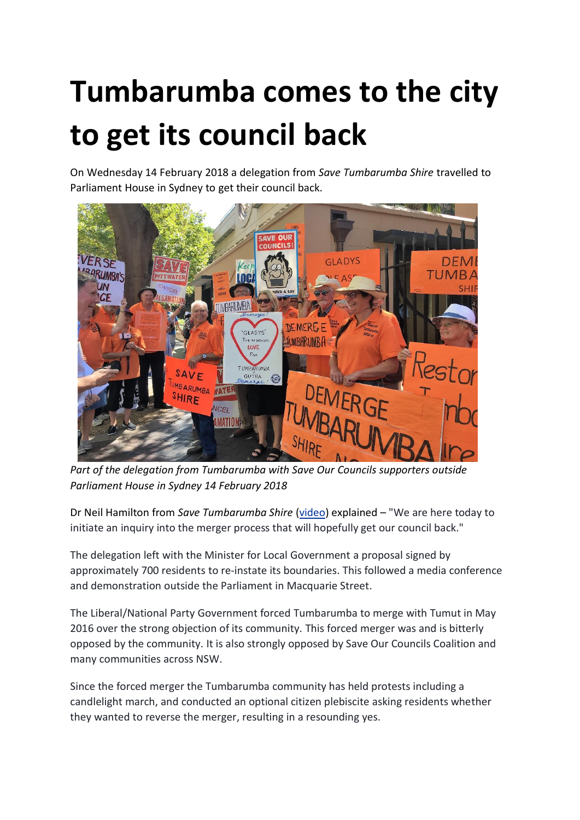## **Tumbarumba comes to the city to get its council back**

On Wednesday 14 February 2018 a delegation from *Save Tumbarumba Shire* travelled to Parliament House in Sydney to get their council back.



*Part of the delegation from Tumbarumba with Save Our Councils supporters outside Parliament House in Sydney 14 February 2018*

Dr Neil Hamilton from *Save Tumbarumba Shire* [\(video\)](https://www.facebook.com/saveourcouncils/videos/2006441326345093/) explained – "We are here today to initiate an inquiry into the merger process that will hopefully get our council back."

The delegation left with the Minister for Local Government a proposal signed by approximately 700 residents to re-instate its boundaries. This followed a media conference and demonstration outside the Parliament in Macquarie Street.

The Liberal/National Party Government forced Tumbarumba to merge with Tumut in May 2016 over the strong objection of its community. This forced merger was and is bitterly opposed by the community. It is also strongly opposed by Save Our Councils Coalition and many communities across NSW.

Since the forced merger the Tumbarumba community has held protests including a candlelight march, and conducted an optional citizen plebiscite asking residents whether they wanted to reverse the merger, resulting in a resounding yes.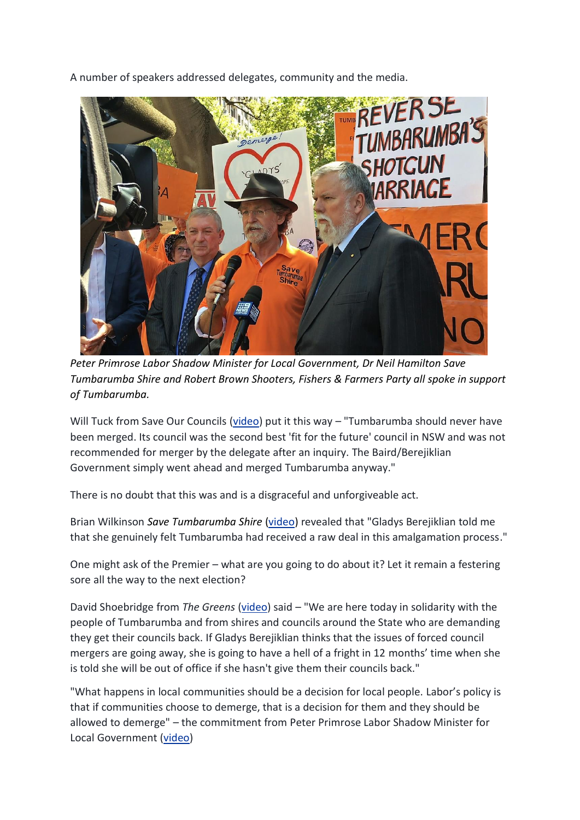A number of speakers addressed delegates, community and the media.



*Peter Primrose Labor Shadow Minister for Local Government, Dr Neil Hamilton Save Tumbarumba Shire and Robert Brown Shooters, Fishers & Farmers Party all spoke in support of Tumbarumba.*

Will Tuck from Save Our Councils [\(video\)](https://www.facebook.com/saveourcouncils/videos/2006460119676547/) put it this way – "Tumbarumba should never have been merged. Its council was the second best 'fit for the future' council in NSW and was not recommended for merger by the delegate after an inquiry. The Baird/Berejiklian Government simply went ahead and merged Tumbarumba anyway."

There is no doubt that this was and is a disgraceful and unforgiveable act.

Brian Wilkinson *Save Tumbarumba Shire* [\(video\)](https://www.facebook.com/saveourcouncils/videos/2006433963012496/) revealed that "Gladys Berejiklian told me that she genuinely felt Tumbarumba had received a raw deal in this amalgamation process."

One might ask of the Premier – what are you going to do about it? Let it remain a festering sore all the way to the next election?

David Shoebridge from *The Greens* [\(video\)](https://www.facebook.com/saveourcouncils/videos/2006526336336592/) said – "We are here today in solidarity with the people of Tumbarumba and from shires and councils around the State who are demanding they get their councils back. If Gladys Berejiklian thinks that the issues of forced council mergers are going away, she is going to have a hell of a fright in 12 months' time when she is told she will be out of office if she hasn't give them their councils back."

"What happens in local communities should be a decision for local people. Labor's policy is that if communities choose to demerge, that is a decision for them and they should be allowed to demerge" – the commitment from Peter Primrose Labor Shadow Minister for Local Government [\(video\)](https://www.facebook.com/saveourcouncils/videos/2006547529667806/)